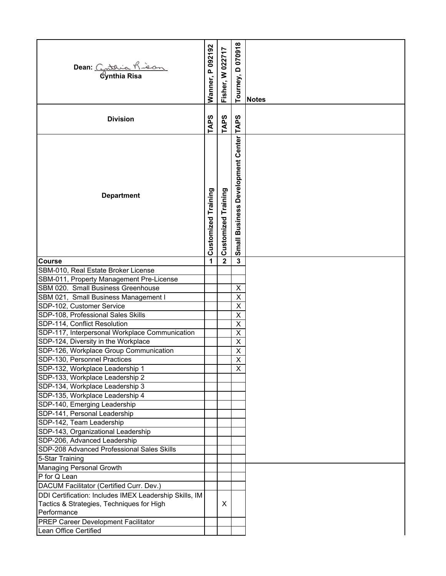| Dean: Catrick Rison                                                    |                            |                     | Tourney, D 070918                 | <b>Notes</b> |
|------------------------------------------------------------------------|----------------------------|---------------------|-----------------------------------|--------------|
| <b>Division</b>                                                        | <b>TAPS</b>                | <b>TAPS</b>         | <b>TAPS</b>                       |              |
| <b>Department</b>                                                      | <b>Customized Training</b> | Customized Training | Small Business Development Center |              |
| <b>Course</b>                                                          | 1                          | $\mathbf{2}$        | $\mathbf 3$                       |              |
| SBM-010, Real Estate Broker License                                    |                            |                     |                                   |              |
| SBM-011, Property Management Pre-License                               |                            |                     |                                   |              |
| SBM 020. Small Business Greenhouse                                     |                            |                     | Χ                                 |              |
| SBM 021, Small Business Management I                                   |                            |                     | $\overline{\mathsf{x}}$           |              |
| SDP-102, Customer Service                                              |                            |                     | X                                 |              |
| SDP-108, Professional Sales Skills                                     |                            |                     | $\overline{\mathsf{x}}$           |              |
| SDP-114, Conflict Resolution                                           |                            |                     | $\overline{X}$                    |              |
| SDP-117, Interpersonal Workplace Communication                         |                            |                     | X                                 |              |
| SDP-124, Diversity in the Workplace                                    |                            |                     | X                                 |              |
| SDP-126, Workplace Group Communication<br>SDP-130, Personnel Practices |                            |                     | X                                 |              |
|                                                                        |                            |                     | $\overline{X}$                    |              |
| SDP-132, Workplace Leadership 1<br>SDP-133, Workplace Leadership 2     |                            |                     | X                                 |              |
| SDP-134, Workplace Leadership 3                                        |                            |                     |                                   |              |
| SDP-135, Workplace Leadership 4                                        |                            |                     |                                   |              |
| SDP-140, Emerging Leadership                                           |                            |                     |                                   |              |
| SDP-141, Personal Leadership                                           |                            |                     |                                   |              |
| SDP-142, Team Leadership                                               |                            |                     |                                   |              |
| SDP-143, Organizational Leadership                                     |                            |                     |                                   |              |
| SDP-206, Advanced Leadership                                           |                            |                     |                                   |              |
| SDP-208 Advanced Professional Sales Skills                             |                            |                     |                                   |              |
| 5-Star Training                                                        |                            |                     |                                   |              |
| Managing Personal Growth                                               |                            |                     |                                   |              |
| P for Q Lean                                                           |                            |                     |                                   |              |
| DACUM Facilitator (Certified Curr. Dev.)                               |                            |                     |                                   |              |
| DDI Certification: Includes IMEX Leadership Skills, IM                 |                            |                     |                                   |              |
| Tactics & Strategies, Techniques for High                              |                            | X                   |                                   |              |
| Performance                                                            |                            |                     |                                   |              |
| PREP Career Development Facilitator                                    |                            |                     |                                   |              |
| Lean Office Certified                                                  |                            |                     |                                   |              |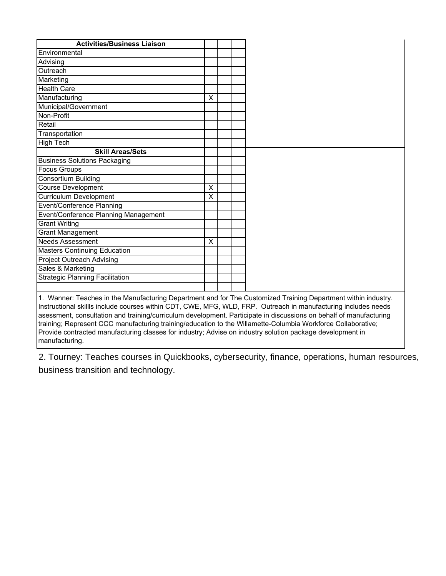| <b>Activities/Business Liaison</b>     |   |  |
|----------------------------------------|---|--|
| Environmental                          |   |  |
| Advising                               |   |  |
| Outreach                               |   |  |
| Marketing                              |   |  |
| <b>Health Care</b>                     |   |  |
| Manufacturing                          | X |  |
| Municipal/Government                   |   |  |
| Non-Profit                             |   |  |
| Retail                                 |   |  |
| Transportation                         |   |  |
| <b>High Tech</b>                       |   |  |
| <b>Skill Areas/Sets</b>                |   |  |
| <b>Business Solutions Packaging</b>    |   |  |
| <b>Focus Groups</b>                    |   |  |
| <b>Consortium Building</b>             |   |  |
| <b>Course Development</b>              | X |  |
| <b>Curriculum Development</b>          | X |  |
| <b>Event/Conference Planning</b>       |   |  |
| Event/Conference Planning Management   |   |  |
| <b>Grant Writing</b>                   |   |  |
| <b>Grant Management</b>                |   |  |
| <b>Needs Assessment</b>                | X |  |
| <b>Masters Continuing Education</b>    |   |  |
| <b>Project Outreach Advising</b>       |   |  |
| Sales & Marketing                      |   |  |
|                                        |   |  |
| <b>Strategic Planning Facilitation</b> |   |  |

Instructional skillls include courses within CDT, CWE, MFG, WLD, FRP. Outreach in manufacturing includes needs asessment, consultation and training/curriculum development. Participate in discussions on behalf of manufacturing training; Represent CCC manufacturing training/education to the Willamette-Columbia Workforce Collaborative; Provide contracted manufacturing classes for industry; Advise on industry solution package development in manufacturing.

2. Tourney: Teaches courses in Quickbooks, cybersecurity, finance, operations, human resources, business transition and technology.